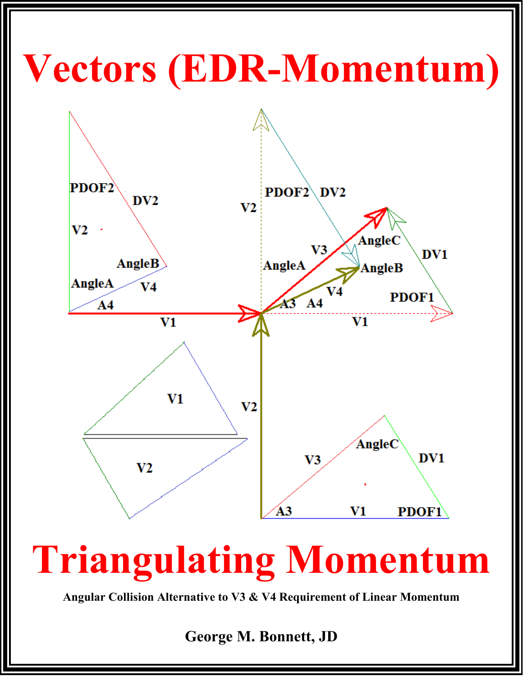## Vectors (EDR-Momentum)



## **Triangulating Momentum**

Angular Collision Alternative to V3 & V4 Requirement of Linear Momentum

George M. Bonnett, JD